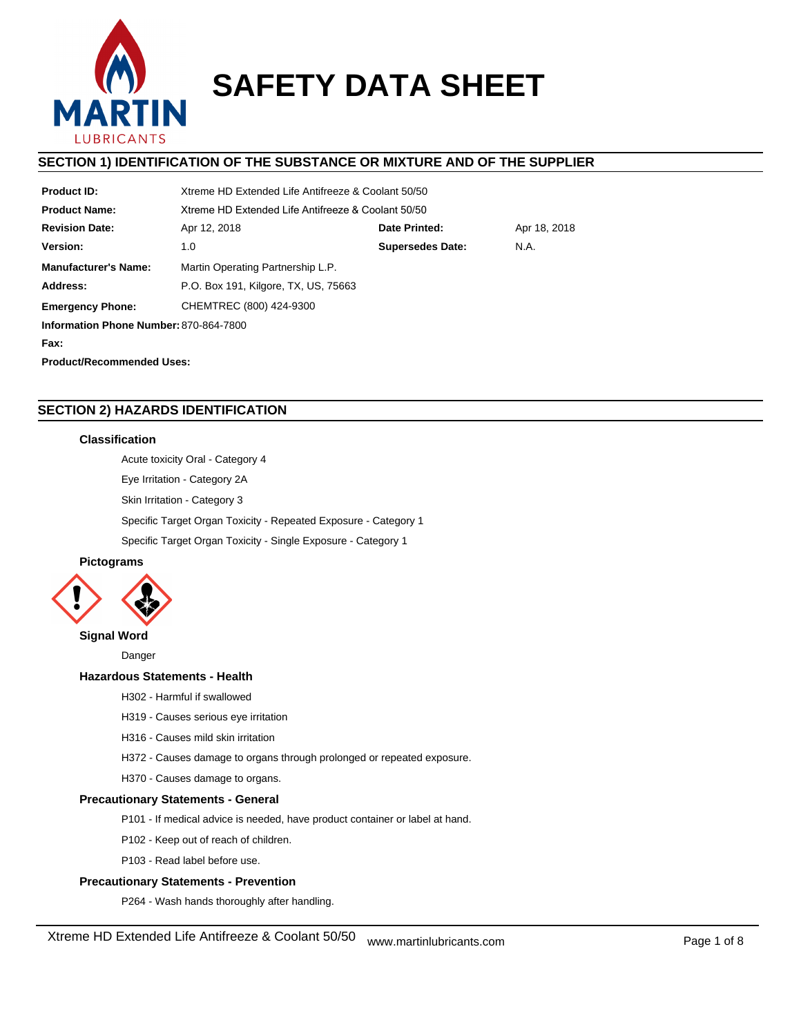

# **SAFETY DATA SHEET**

# **SECTION 1) IDENTIFICATION OF THE SUBSTANCE OR MIXTURE AND OF THE SUPPLIER**

| <b>Product ID:</b>                     | Xtreme HD Extended Life Antifreeze & Coolant 50/50 |                         |              |  |  |  |
|----------------------------------------|----------------------------------------------------|-------------------------|--------------|--|--|--|
| <b>Product Name:</b>                   | Xtreme HD Extended Life Antifreeze & Coolant 50/50 |                         |              |  |  |  |
| <b>Revision Date:</b>                  | Apr 12, 2018                                       | Date Printed:           | Apr 18, 2018 |  |  |  |
| Version:                               | 1.0                                                | <b>Supersedes Date:</b> | N.A.         |  |  |  |
| <b>Manufacturer's Name:</b>            | Martin Operating Partnership L.P.                  |                         |              |  |  |  |
| Address:                               | P.O. Box 191, Kilgore, TX, US, 75663               |                         |              |  |  |  |
| <b>Emergency Phone:</b>                | CHEMTREC (800) 424-9300                            |                         |              |  |  |  |
| Information Phone Number: 870-864-7800 |                                                    |                         |              |  |  |  |
| Fax:                                   |                                                    |                         |              |  |  |  |
| <b>Product/Recommended Uses:</b>       |                                                    |                         |              |  |  |  |

# **SECTION 2) HAZARDS IDENTIFICATION**

## **Classification**

Acute toxicity Oral - Category 4

Eye Irritation - Category 2A

Skin Irritation - Category 3

Specific Target Organ Toxicity - Repeated Exposure - Category 1

Specific Target Organ Toxicity - Single Exposure - Category 1

# **Pictograms**



## **Signal Word**

Danger

## **Hazardous Statements - Health**

H302 - Harmful if swallowed

- H319 Causes serious eye irritation
- H316 Causes mild skin irritation
- H372 Causes damage to organs through prolonged or repeated exposure.

H370 - Causes damage to organs.

## **Precautionary Statements - General**

- P101 If medical advice is needed, have product container or label at hand.
- P102 Keep out of reach of children.
- P103 Read label before use.

## **Precautionary Statements - Prevention**

P264 - Wash hands thoroughly after handling.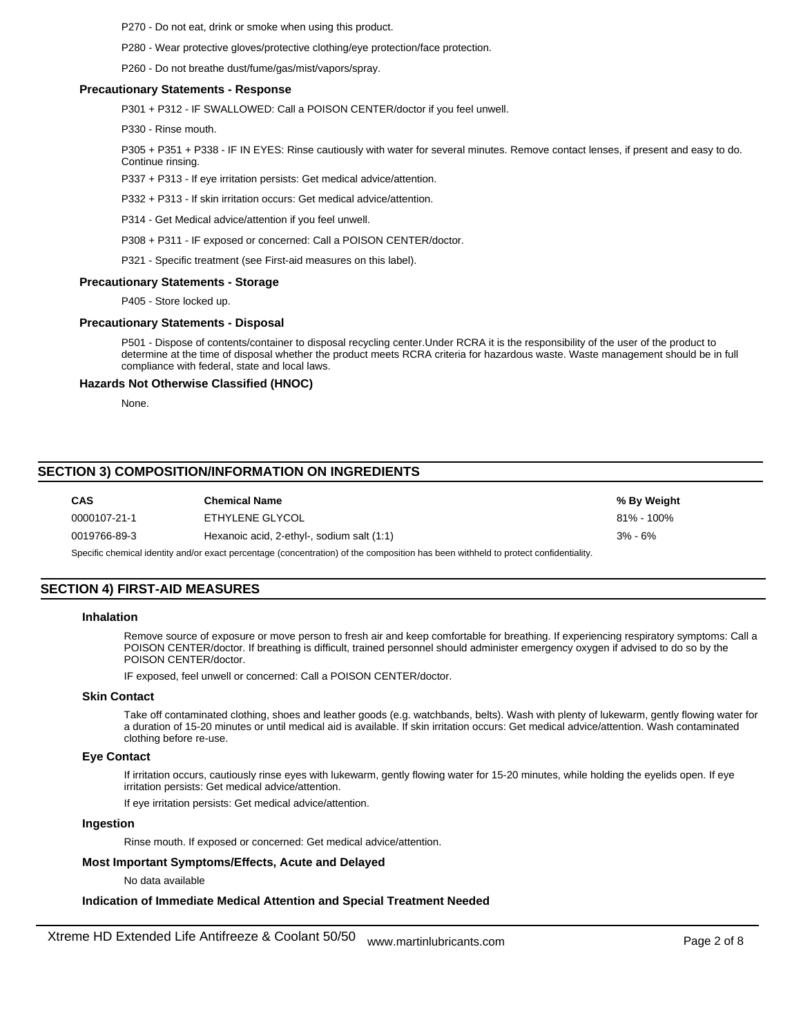P270 - Do not eat, drink or smoke when using this product.

P280 - Wear protective gloves/protective clothing/eye protection/face protection.

P260 - Do not breathe dust/fume/gas/mist/vapors/spray.

#### **Precautionary Statements - Response**

P301 + P312 - IF SWALLOWED: Call a POISON CENTER/doctor if you feel unwell.

P330 - Rinse mouth.

P305 + P351 + P338 - IF IN EYES: Rinse cautiously with water for several minutes. Remove contact lenses, if present and easy to do. Continue rinsing.

P337 + P313 - If eye irritation persists: Get medical advice/attention.

P332 + P313 - If skin irritation occurs: Get medical advice/attention.

P314 - Get Medical advice/attention if you feel unwell.

P308 + P311 - IF exposed or concerned: Call a POISON CENTER/doctor.

P321 - Specific treatment (see First-aid measures on this label).

#### **Precautionary Statements - Storage**

P405 - Store locked up.

#### **Precautionary Statements - Disposal**

P501 - Dispose of contents/container to disposal recycling center.Under RCRA it is the responsibility of the user of the product to determine at the time of disposal whether the product meets RCRA criteria for hazardous waste. Waste management should be in full compliance with federal, state and local laws.

#### **Hazards Not Otherwise Classified (HNOC)**

None.

# **SECTION 3) COMPOSITION/INFORMATION ON INGREDIENTS**

| <b>CAS</b>   | <b>Chemical Name</b>                       | % By Weight    |
|--------------|--------------------------------------------|----------------|
| 0000107-21-1 | ETHYLENE GLYCOL                            | $81\% - 100\%$ |
| 0019766-89-3 | Hexanoic acid, 2-ethyl-, sodium salt (1:1) | $3\% - 6\%$    |
|              |                                            |                |

Specific chemical identity and/or exact percentage (concentration) of the composition has been withheld to protect confidentiality.

## **SECTION 4) FIRST-AID MEASURES**

## **Inhalation**

Remove source of exposure or move person to fresh air and keep comfortable for breathing. If experiencing respiratory symptoms: Call a POISON CENTER/doctor. If breathing is difficult, trained personnel should administer emergency oxygen if advised to do so by the POISON CENTER/doctor.

IF exposed, feel unwell or concerned: Call a POISON CENTER/doctor.

#### **Skin Contact**

Take off contaminated clothing, shoes and leather goods (e.g. watchbands, belts). Wash with plenty of lukewarm, gently flowing water for a duration of 15-20 minutes or until medical aid is available. If skin irritation occurs: Get medical advice/attention. Wash contaminated clothing before re-use.

## **Eye Contact**

If irritation occurs, cautiously rinse eyes with lukewarm, gently flowing water for 15-20 minutes, while holding the eyelids open. If eye irritation persists: Get medical advice/attention.

If eye irritation persists: Get medical advice/attention.

#### **Ingestion**

Rinse mouth. If exposed or concerned: Get medical advice/attention.

## **Most Important Symptoms/Effects, Acute and Delayed**

No data available

#### **Indication of Immediate Medical Attention and Special Treatment Needed**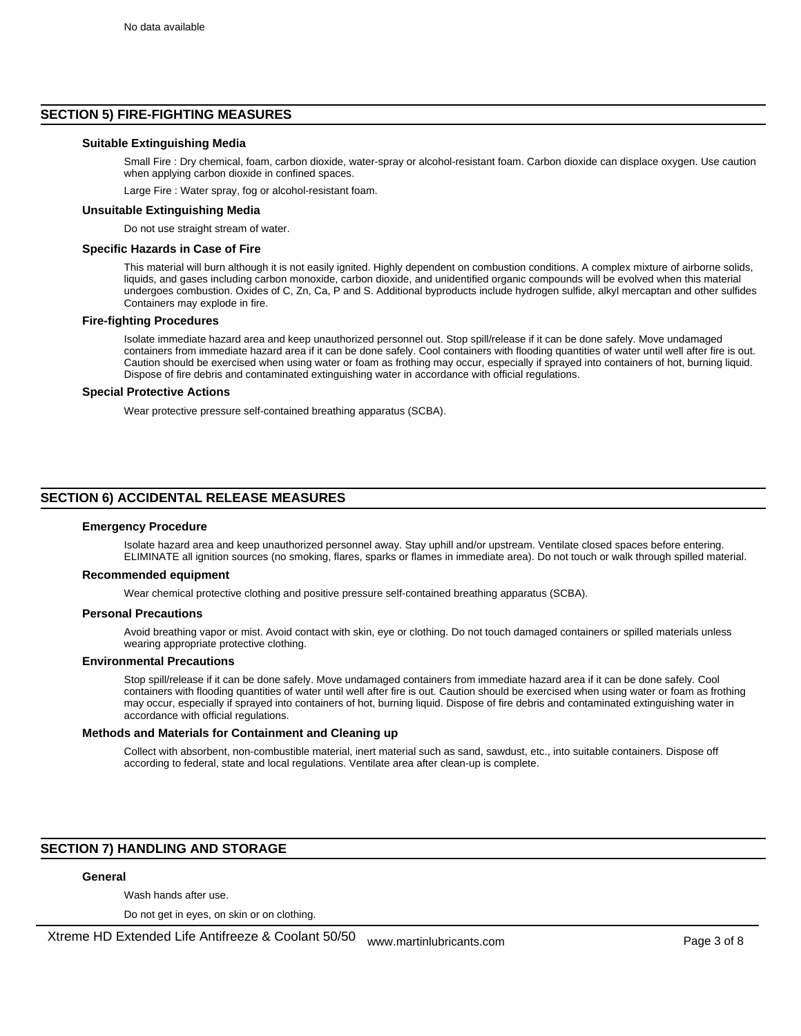## **SECTION 5) FIRE-FIGHTING MEASURES**

#### **Suitable Extinguishing Media**

Small Fire : Dry chemical, foam, carbon dioxide, water-spray or alcohol-resistant foam. Carbon dioxide can displace oxygen. Use caution when applying carbon dioxide in confined spaces.

Large Fire : Water spray, fog or alcohol-resistant foam.

#### **Unsuitable Extinguishing Media**

Do not use straight stream of water.

#### **Specific Hazards in Case of Fire**

This material will burn although it is not easily ignited. Highly dependent on combustion conditions. A complex mixture of airborne solids, liquids, and gases including carbon monoxide, carbon dioxide, and unidentified organic compounds will be evolved when this material undergoes combustion. Oxides of C, Zn, Ca, P and S. Additional byproducts include hydrogen sulfide, alkyl mercaptan and other sulfides Containers may explode in fire.

#### **Fire-fighting Procedures**

Isolate immediate hazard area and keep unauthorized personnel out. Stop spill/release if it can be done safely. Move undamaged containers from immediate hazard area if it can be done safely. Cool containers with flooding quantities of water until well after fire is out. Caution should be exercised when using water or foam as frothing may occur, especially if sprayed into containers of hot, burning liquid. Dispose of fire debris and contaminated extinguishing water in accordance with official regulations.

#### **Special Protective Actions**

Wear protective pressure self-contained breathing apparatus (SCBA).

## **SECTION 6) ACCIDENTAL RELEASE MEASURES**

#### **Emergency Procedure**

Isolate hazard area and keep unauthorized personnel away. Stay uphill and/or upstream. Ventilate closed spaces before entering. ELIMINATE all ignition sources (no smoking, flares, sparks or flames in immediate area). Do not touch or walk through spilled material.

#### **Recommended equipment**

Wear chemical protective clothing and positive pressure self-contained breathing apparatus (SCBA).

#### **Personal Precautions**

Avoid breathing vapor or mist. Avoid contact with skin, eye or clothing. Do not touch damaged containers or spilled materials unless wearing appropriate protective clothing.

## **Environmental Precautions**

Stop spill/release if it can be done safely. Move undamaged containers from immediate hazard area if it can be done safely. Cool containers with flooding quantities of water until well after fire is out. Caution should be exercised when using water or foam as frothing may occur, especially if sprayed into containers of hot, burning liquid. Dispose of fire debris and contaminated extinguishing water in accordance with official regulations.

## **Methods and Materials for Containment and Cleaning up**

Collect with absorbent, non-combustible material, inert material such as sand, sawdust, etc., into suitable containers. Dispose off according to federal, state and local regulations. Ventilate area after clean-up is complete.

# **SECTION 7) HANDLING AND STORAGE**

## **General**

Wash hands after use.

Do not get in eyes, on skin or on clothing.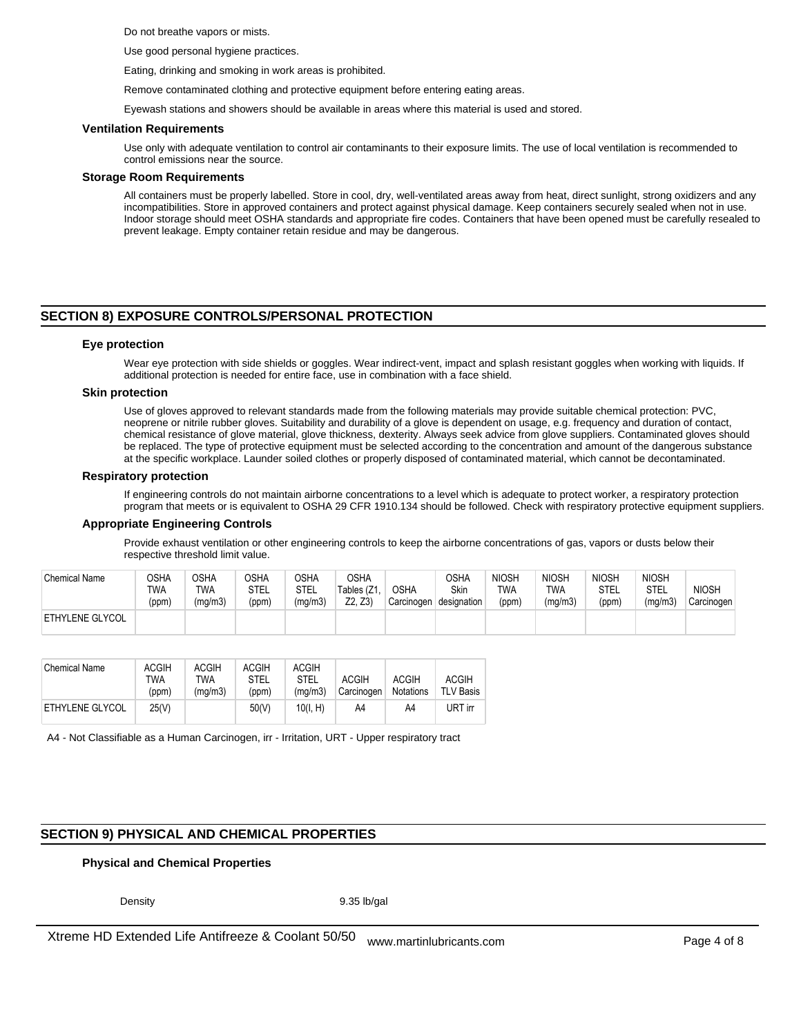Do not breathe vapors or mists.

Use good personal hygiene practices.

Eating, drinking and smoking in work areas is prohibited.

Remove contaminated clothing and protective equipment before entering eating areas.

Eyewash stations and showers should be available in areas where this material is used and stored.

#### **Ventilation Requirements**

Use only with adequate ventilation to control air contaminants to their exposure limits. The use of local ventilation is recommended to control emissions near the source.

#### **Storage Room Requirements**

All containers must be properly labelled. Store in cool, dry, well-ventilated areas away from heat, direct sunlight, strong oxidizers and any incompatibilities. Store in approved containers and protect against physical damage. Keep containers securely sealed when not in use. Indoor storage should meet OSHA standards and appropriate fire codes. Containers that have been opened must be carefully resealed to prevent leakage. Empty container retain residue and may be dangerous.

## **SECTION 8) EXPOSURE CONTROLS/PERSONAL PROTECTION**

#### **Eye protection**

Wear eye protection with side shields or goggles. Wear indirect-vent, impact and splash resistant goggles when working with liquids. If additional protection is needed for entire face, use in combination with a face shield.

#### **Skin protection**

Use of gloves approved to relevant standards made from the following materials may provide suitable chemical protection: PVC, neoprene or nitrile rubber gloves. Suitability and durability of a glove is dependent on usage, e.g. frequency and duration of contact, chemical resistance of glove material, glove thickness, dexterity. Always seek advice from glove suppliers. Contaminated gloves should be replaced. The type of protective equipment must be selected according to the concentration and amount of the dangerous substance at the specific workplace. Launder soiled clothes or properly disposed of contaminated material, which cannot be decontaminated.

#### **Respiratory protection**

If engineering controls do not maintain airborne concentrations to a level which is adequate to protect worker, a respiratory protection program that meets or is equivalent to OSHA 29 CFR 1910.134 should be followed. Check with respiratory protective equipment suppliers.

## **Appropriate Engineering Controls**

Provide exhaust ventilation or other engineering controls to keep the airborne concentrations of gas, vapors or dusts below their respective threshold limit value.

| <b>Chemical Name</b>   | OSHA<br>TWA<br>(ppm) | OSHA<br>TWA<br>(mg/m3) | <b>OSHA</b><br>STEL<br>(ppm) | OSHA<br>STEL<br>(mg/m3) | <b>OSHA</b><br>Tables (Z1<br>Z2, Z3) | <b>OSHA</b><br>Carcinogen | OSHA<br>Skin<br>designation | <b>NIOSH</b><br>TWA<br>(ppm) | <b>NIOSH</b><br>TWA<br>(mg/m3) | <b>NIOSH</b><br>STEL<br>(ppm) | <b>NIOSH</b><br>STEL<br>(mg/m3) | <b>NIOSH</b><br>Carcinogen |
|------------------------|----------------------|------------------------|------------------------------|-------------------------|--------------------------------------|---------------------------|-----------------------------|------------------------------|--------------------------------|-------------------------------|---------------------------------|----------------------------|
| <b>ETHYLENE GLYCOL</b> |                      |                        |                              |                         |                                      |                           |                             |                              |                                |                               |                                 |                            |

| Chemical Name          | <b>ACGIH</b><br>TWA<br>(ppm) | <b>ACGIH</b><br>TWA<br>(ma/m3) | <b>ACGIH</b><br><b>STEL</b><br>(ppm) | <b>ACGIH</b><br><b>STEL</b><br>(ma/m3) | <b>ACGIH</b><br>Carcinogen | <b>ACGIH</b><br><b>Notations</b> | <b>ACGIH</b><br><b>TLV Basis</b> |
|------------------------|------------------------------|--------------------------------|--------------------------------------|----------------------------------------|----------------------------|----------------------------------|----------------------------------|
| <b>ETHYLENE GLYCOL</b> | 25(V)                        |                                | 50(V)                                | 10(I. H)                               | A4                         | A4                               | URT irr                          |

A4 - Not Classifiable as a Human Carcinogen, irr - Irritation, URT - Upper respiratory tract

## **SECTION 9) PHYSICAL AND CHEMICAL PROPERTIES**

## **Physical and Chemical Properties**

Density 9.35 lb/gal

Xtreme HD Extended Life Antifreeze & Coolant 50/50 www.martinlubricants.com Page 4 of 8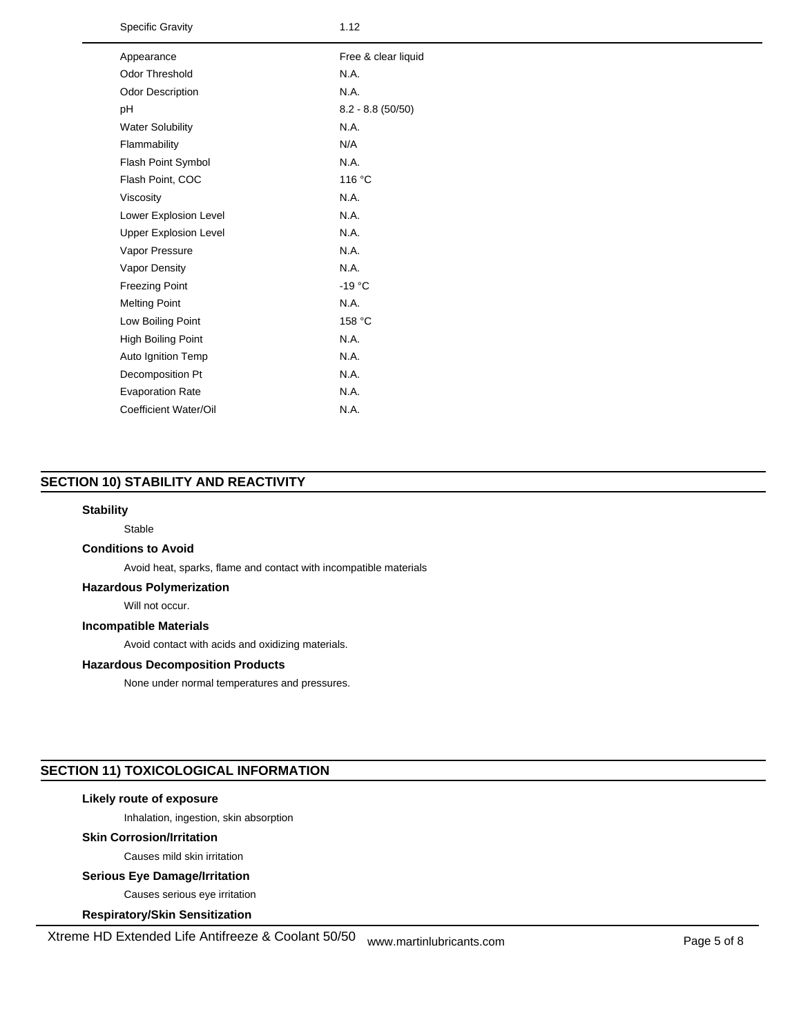Specific Gravity 1.12

| Appearance                   | Free & clear liquid |
|------------------------------|---------------------|
| Odor Threshold               | N.A.                |
| Odor Description             | N.A.                |
| pH                           | $8.2 - 8.8(50/50)$  |
| <b>Water Solubility</b>      | N.A.                |
| Flammability                 | N/A                 |
| Flash Point Symbol           | N.A.                |
| Flash Point, COC             | 116 °C              |
| Viscosity                    | N.A.                |
| Lower Explosion Level        | N.A.                |
| <b>Upper Explosion Level</b> | N.A.                |
| Vapor Pressure               | N.A.                |
| Vapor Density                | N.A.                |
| <b>Freezing Point</b>        | $-19 °C$            |
| <b>Melting Point</b>         | N.A.                |
| Low Boiling Point            | 158 °C              |
| High Boiling Point           | N.A.                |
| Auto Ignition Temp           | N.A.                |
| Decomposition Pt             | N.A.                |
| <b>Evaporation Rate</b>      | N.A.                |
| Coefficient Water/Oil        | N.A.                |
|                              |                     |

# **SECTION 10) STABILITY AND REACTIVITY**

## **Stability**

Stable

## **Conditions to Avoid**

Avoid heat, sparks, flame and contact with incompatible materials

## **Hazardous Polymerization**

Will not occur.

## **Incompatible Materials**

Avoid contact with acids and oxidizing materials.

## **Hazardous Decomposition Products**

None under normal temperatures and pressures.

# **SECTION 11) TOXICOLOGICAL INFORMATION**

## **Likely route of exposure**

Inhalation, ingestion, skin absorption

## **Skin Corrosion/Irritation**

Causes mild skin irritation

## **Serious Eye Damage/Irritation**

Causes serious eye irritation

## **Respiratory/Skin Sensitization**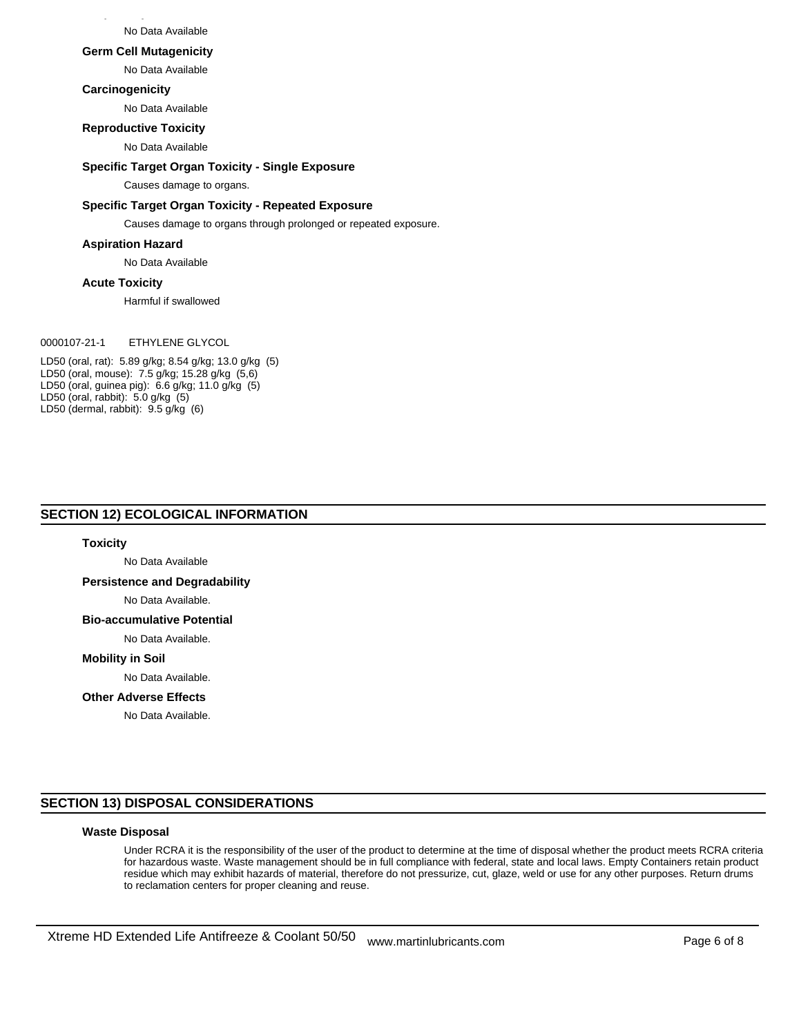No Data Available

#### **Germ Cell Mutagenicity**

No Data Available

#### **Carcinogenicity**

No Data Available

## **Reproductive Toxicity**

No Data Available

## **Specific Target Organ Toxicity - Single Exposure**

Causes damage to organs.

## **Specific Target Organ Toxicity - Repeated Exposure**

Causes damage to organs through prolonged or repeated exposure.

#### **Aspiration Hazard**

No Data Available

#### **Acute Toxicity**

Harmful if swallowed

## 0000107-21-1 ETHYLENE GLYCOL

LD50 (oral, rat): 5.89 g/kg; 8.54 g/kg; 13.0 g/kg (5) LD50 (oral, mouse): 7.5 g/kg; 15.28 g/kg (5,6) LD50 (oral, guinea pig): 6.6 g/kg; 11.0 g/kg (5) LD50 (oral, rabbit): 5.0 g/kg (5) LD50 (dermal, rabbit): 9.5 g/kg (6)

## **SECTION 12) ECOLOGICAL INFORMATION**

#### **Toxicity**

No Data Available

**Persistence and Degradability**

No Data Available.

# **Bio-accumulative Potential**

No Data Available.

#### **Mobility in Soil**

No Data Available.

## **Other Adverse Effects**

No Data Available.

## **SECTION 13) DISPOSAL CONSIDERATIONS**

#### **Waste Disposal**

Under RCRA it is the responsibility of the user of the product to determine at the time of disposal whether the product meets RCRA criteria for hazardous waste. Waste management should be in full compliance with federal, state and local laws. Empty Containers retain product residue which may exhibit hazards of material, therefore do not pressurize, cut, glaze, weld or use for any other purposes. Return drums to reclamation centers for proper cleaning and reuse.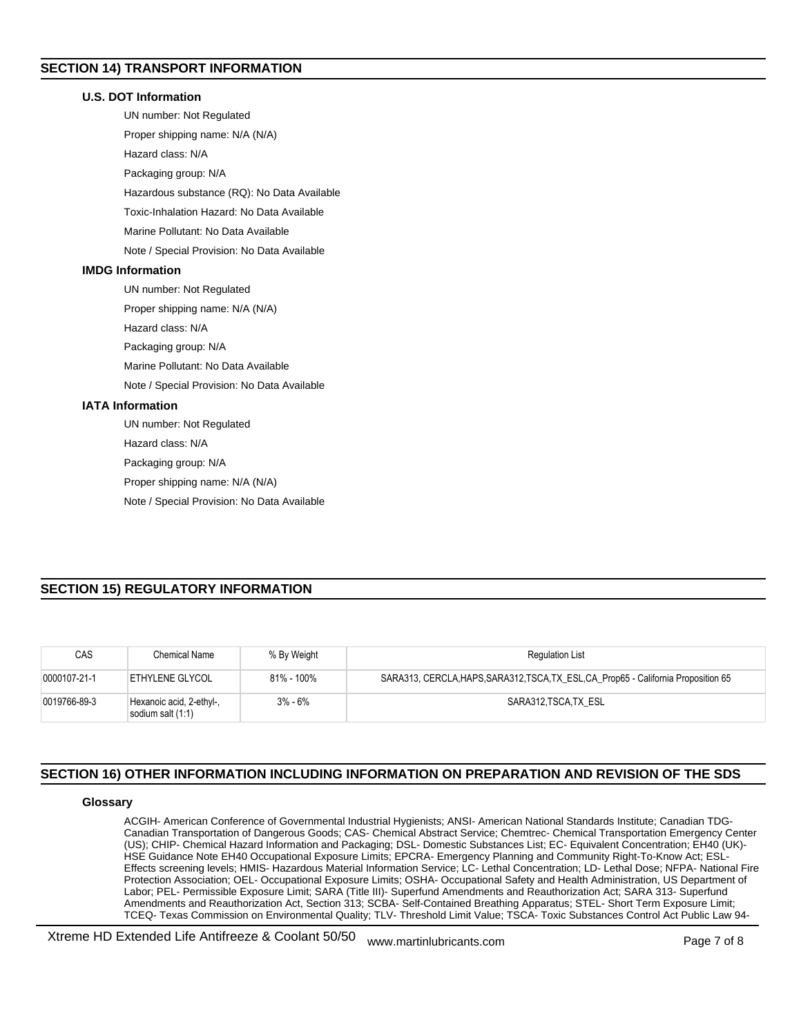# **SECTION 14) TRANSPORT INFORMATION**

## **U.S. DOT Information**

UN number: Not Regulated Proper shipping name: N/A (N/A) Hazard class: N/A Packaging group: N/A Hazardous substance (RQ): No Data Available Toxic-Inhalation Hazard: No Data Available Marine Pollutant: No Data Available Note / Special Provision: No Data Available **IMDG Information**

UN number: Not Regulated

Proper shipping name: N/A (N/A)

Hazard class: N/A

Packaging group: N/A

Marine Pollutant: No Data Available

Note / Special Provision: No Data Available

## **IATA Information**

UN number: Not Regulated

Hazard class: N/A

Packaging group: N/A

Proper shipping name: N/A (N/A)

Note / Special Provision: No Data Available

# **SECTION 15) REGULATORY INFORMATION**

| CAS          | Chemical Name                                 | % By Weight | <b>Regulation List</b>                                                              |
|--------------|-----------------------------------------------|-------------|-------------------------------------------------------------------------------------|
| 0000107-21-1 | ETHYLENE GLYCOL                               | 81% - 100%  | SARA313, CERCLA, HAPS, SARA312, TSCA, TX_ESL, CA_Prop65 - California Proposition 65 |
| 0019766-89-3 | Hexanoic acid, 2-ethyl-,<br>sodium salt (1:1) | $3\% - 6\%$ | SARA312 TSCA TX ESL                                                                 |

# **SECTION 16) OTHER INFORMATION INCLUDING INFORMATION ON PREPARATION AND REVISION OF THE SDS**

## **Glossary**

ACGIH- American Conference of Governmental Industrial Hygienists; ANSI- American National Standards Institute; Canadian TDG-Canadian Transportation of Dangerous Goods; CAS- Chemical Abstract Service; Chemtrec- Chemical Transportation Emergency Center (US); CHIP- Chemical Hazard Information and Packaging; DSL- Domestic Substances List; EC- Equivalent Concentration; EH40 (UK)- HSE Guidance Note EH40 Occupational Exposure Limits; EPCRA- Emergency Planning and Community Right-To-Know Act; ESL-Effects screening levels; HMIS- Hazardous Material Information Service; LC- Lethal Concentration; LD- Lethal Dose; NFPA- National Fire Protection Association; OEL- Occupational Exposure Limits; OSHA- Occupational Safety and Health Administration, US Department of Labor; PEL- Permissible Exposure Limit; SARA (Title III)- Superfund Amendments and Reauthorization Act; SARA 313- Superfund Amendments and Reauthorization Act, Section 313; SCBA- Self-Contained Breathing Apparatus; STEL- Short Term Exposure Limit; TCEQ- Texas Commission on Environmental Quality; TLV- Threshold Limit Value; TSCA- Toxic Substances Control Act Public Law 94